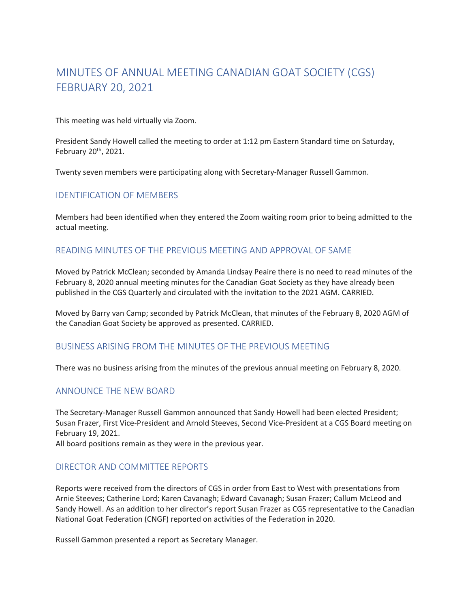# MINUTES OF ANNUAL MEETING CANADIAN GOAT SOCIETY (CGS) FEBRUARY 20, 2021

This meeting was held virtually via Zoom.

President Sandy Howell called the meeting to order at 1:12 pm Eastern Standard time on Saturday, February 20th, 2021.

Twenty seven members were participating along with Secretary-Manager Russell Gammon.

# IDENTIFICATION OF MEMBERS

Members had been identified when they entered the Zoom waiting room prior to being admitted to the actual meeting.

#### READING MINUTES OF THE PREVIOUS MEETING AND APPROVAL OF SAME

Moved by Patrick McClean; seconded by Amanda Lindsay Peaire there is no need to read minutes of the February 8, 2020 annual meeting minutes for the Canadian Goat Society as they have already been published in the CGS Quarterly and circulated with the invitation to the 2021 AGM. CARRIED.

Moved by Barry van Camp; seconded by Patrick McClean, that minutes of the February 8, 2020 AGM of the Canadian Goat Society be approved as presented. CARRIED.

# BUSINESS ARISING FROM THE MINUTES OF THE PREVIOUS MEETING

There was no business arising from the minutes of the previous annual meeting on February 8, 2020.

# ANNOUNCE THE NEW BOARD

The Secretary-Manager Russell Gammon announced that Sandy Howell had been elected President; Susan Frazer, First Vice-President and Arnold Steeves, Second Vice-President at a CGS Board meeting on February 19, 2021.

All board positions remain as they were in the previous year.

#### DIRECTOR AND COMMITTEE REPORTS

Reports were received from the directors of CGS in order from East to West with presentations from Arnie Steeves; Catherine Lord; Karen Cavanagh; Edward Cavanagh; Susan Frazer; Callum McLeod and Sandy Howell. As an addition to her director's report Susan Frazer as CGS representative to the Canadian National Goat Federation (CNGF) reported on activities of the Federation in 2020.

Russell Gammon presented a report as Secretary Manager.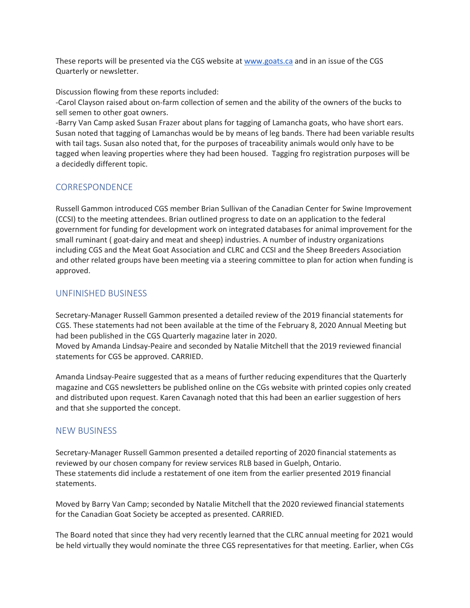These reports will be presented via the CGS website at www.goats.ca and in an issue of the CGS Quarterly or newsletter.

Discussion flowing from these reports included:

-Carol Clayson raised about on-farm collection of semen and the ability of the owners of the bucks to sell semen to other goat owners.

-Barry Van Camp asked Susan Frazer about plans for tagging of Lamancha goats, who have short ears. Susan noted that tagging of Lamanchas would be by means of leg bands. There had been variable results with tail tags. Susan also noted that, for the purposes of traceability animals would only have to be tagged when leaving properties where they had been housed. Tagging fro registration purposes will be a decidedly different topic.

#### **CORRESPONDENCE**

Russell Gammon introduced CGS member Brian Sullivan of the Canadian Center for Swine Improvement (CCSI) to the meeting attendees. Brian outlined progress to date on an application to the federal government for funding for development work on integrated databases for animal improvement for the small ruminant ( goat-dairy and meat and sheep) industries. A number of industry organizations including CGS and the Meat Goat Association and CLRC and CCSI and the Sheep Breeders Association and other related groups have been meeting via a steering committee to plan for action when funding is approved.

# UNFINISHED BUSINESS

Secretary-Manager Russell Gammon presented a detailed review of the 2019 financial statements for CGS. These statements had not been available at the time of the February 8, 2020 Annual Meeting but had been published in the CGS Quarterly magazine later in 2020.

Moved by Amanda Lindsay-Peaire and seconded by Natalie Mitchell that the 2019 reviewed financial statements for CGS be approved. CARRIED.

Amanda Lindsay-Peaire suggested that as a means of further reducing expenditures that the Quarterly magazine and CGS newsletters be published online on the CGs website with printed copies only created and distributed upon request. Karen Cavanagh noted that this had been an earlier suggestion of hers and that she supported the concept.

# NEW BUSINESS

Secretary-Manager Russell Gammon presented a detailed reporting of 2020 financial statements as reviewed by our chosen company for review services RLB based in Guelph, Ontario. These statements did include a restatement of one item from the earlier presented 2019 financial statements.

Moved by Barry Van Camp; seconded by Natalie Mitchell that the 2020 reviewed financial statements for the Canadian Goat Society be accepted as presented. CARRIED.

The Board noted that since they had very recently learned that the CLRC annual meeting for 2021 would be held virtually they would nominate the three CGS representatives for that meeting. Earlier, when CGs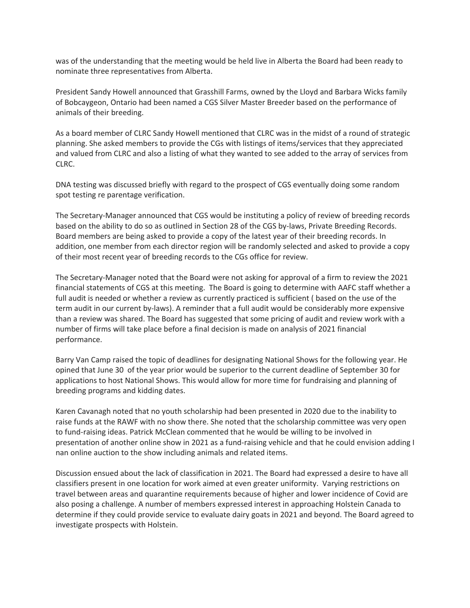was of the understanding that the meeting would be held live in Alberta the Board had been ready to nominate three representatives from Alberta.

President Sandy Howell announced that Grasshill Farms, owned by the Lloyd and Barbara Wicks family of Bobcaygeon, Ontario had been named a CGS Silver Master Breeder based on the performance of animals of their breeding.

As a board member of CLRC Sandy Howell mentioned that CLRC was in the midst of a round of strategic planning. She asked members to provide the CGs with listings of items/services that they appreciated and valued from CLRC and also a listing of what they wanted to see added to the array of services from CLRC.

DNA testing was discussed briefly with regard to the prospect of CGS eventually doing some random spot testing re parentage verification.

The Secretary-Manager announced that CGS would be instituting a policy of review of breeding records based on the ability to do so as outlined in Section 28 of the CGS by-laws, Private Breeding Records. Board members are being asked to provide a copy of the latest year of their breeding records. In addition, one member from each director region will be randomly selected and asked to provide a copy of their most recent year of breeding records to the CGs office for review.

The Secretary-Manager noted that the Board were not asking for approval of a firm to review the 2021 financial statements of CGS at this meeting. The Board is going to determine with AAFC staff whether a full audit is needed or whether a review as currently practiced is sufficient ( based on the use of the term audit in our current by-laws). A reminder that a full audit would be considerably more expensive than a review was shared. The Board has suggested that some pricing of audit and review work with a number of firms will take place before a final decision is made on analysis of 2021 financial performance.

Barry Van Camp raised the topic of deadlines for designating National Shows for the following year. He opined that June 30 of the year prior would be superior to the current deadline of September 30 for applications to host National Shows. This would allow for more time for fundraising and planning of breeding programs and kidding dates.

Karen Cavanagh noted that no youth scholarship had been presented in 2020 due to the inability to raise funds at the RAWF with no show there. She noted that the scholarship committee was very open to fund-raising ideas. Patrick McClean commented that he would be willing to be involved in presentation of another online show in 2021 as a fund-raising vehicle and that he could envision adding I nan online auction to the show including animals and related items.

Discussion ensued about the lack of classification in 2021. The Board had expressed a desire to have all classifiers present in one location for work aimed at even greater uniformity. Varying restrictions on travel between areas and quarantine requirements because of higher and lower incidence of Covid are also posing a challenge. A number of members expressed interest in approaching Holstein Canada to determine if they could provide service to evaluate dairy goats in 2021 and beyond. The Board agreed to investigate prospects with Holstein.